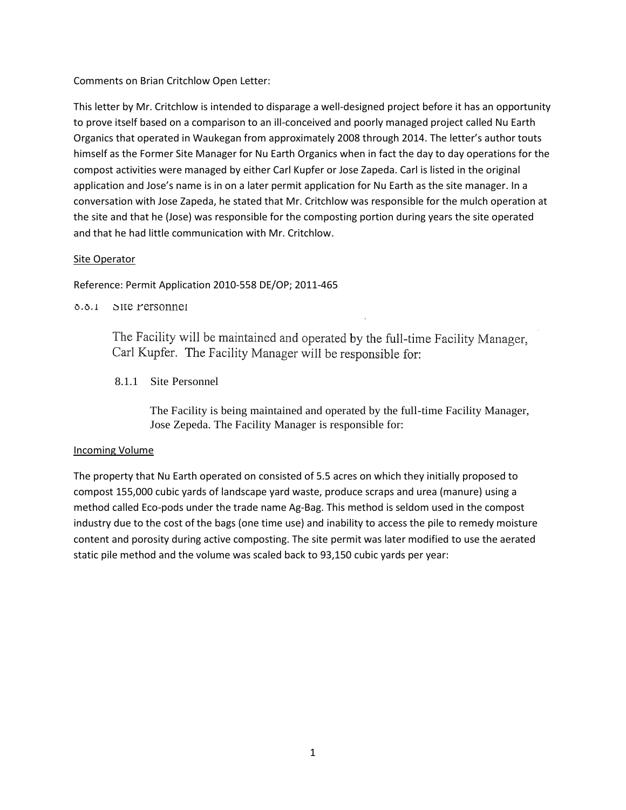Comments on Brian Critchlow Open Letter:

This letter by Mr. Critchlow is intended to disparage a well-designed project before it has an opportunity to prove itself based on a comparison to an ill-conceived and poorly managed project called Nu Earth Organics that operated in Waukegan from approximately 2008 through 2014. The letter's author touts himself as the Former Site Manager for Nu Earth Organics when in fact the day to day operations for the compost activities were managed by either Carl Kupfer or Jose Zapeda. Carl is listed in the original application and Jose's name is in on a later permit application for Nu Earth as the site manager. In a conversation with Jose Zapeda, he stated that Mr. Critchlow was responsible for the mulch operation at the site and that he (Jose) was responsible for the composting portion during years the site operated and that he had little communication with Mr. Critchlow.

# Site Operator

Reference: Permit Application 2010-558 DE/OP; 2011-465

0.0.1 Site rersonnel

The Facility will be maintained and operated by the full-time Facility Manager, Carl Kupfer. The Facility Manager will be responsible for:

8.1.1 Site Personnel

The Facility is being maintained and operated by the full-time Facility Manager, Jose Zepeda. The Facility Manager is responsible for:

## Incoming Volume

The property that Nu Earth operated on consisted of 5.5 acres on which they initially proposed to compost 155,000 cubic yards of landscape yard waste, produce scraps and urea (manure) using a method called Eco-pods under the trade name Ag-Bag. This method is seldom used in the compost industry due to the cost of the bags (one time use) and inability to access the pile to remedy moisture content and porosity during active composting. The site permit was later modified to use the aerated static pile method and the volume was scaled back to 93,150 cubic yards per year: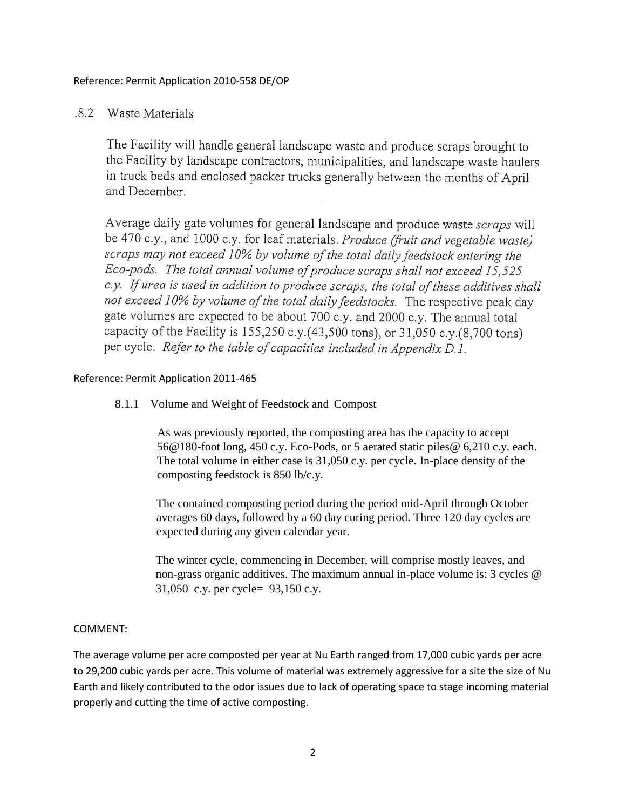Reference: Permit Application 2010-558 DE/OP

#### $.8.2$ Waste Materials

The Facility will handle general landscape waste and produce scraps brought to the Facility by landscape contractors, municipalities, and landscape waste haulers in truck beds and enclosed packer trucks generally between the months of April and December.

Average daily gate volumes for general landscape and produce waste scraps will be 470 c.y., and 1000 c.y. for leaf materials. *Produce (fruit and vegetable waste)* scraps may not exceed 10% by volume of the total daily feedstock entering the Eco-pods. The total annual volume of produce scraps shall not exceed 15,525 c.y. If urea is used in addition to produce scraps, the total of these additives shall not exceed 10% by volume of the total daily feedstocks. The respective peak day gate volumes are expected to be about 700 c.y. and 2000 c.y. The annual total capacity of the Facility is 155,250 c.y.(43,500 tons), or 31,050 c.y.(8,700 tons) per cycle. Refer to the table of capacities included in Appendix D.1.

## Reference: Permit Application 2011-465

## 8.1.1 Volume and Weight of Feedstock and Compost

As was previously reported, the composting area has the capacity to accept 56@180-foot long, 450 c.y. Eco-Pods, or 5 aerated static piles@ 6,210 c.y. each. The total volume in either case is 31,050 c.y. per cycle. In-place density of the composting feedstock is 850 lb/c.y.

The contained composting period during the period mid-April through October averages 60 days, followed by a 60 day curing period. Three 120 day cycles are expected during any given calendar year.

The winter cycle, commencing in December, will comprise mostly leaves, and non-grass organic additives. The maximum annual in-place volume is: 3 cycles @ 31,050 c.y. per cycle= 93,150 c.y.

## COMMENT:

The average volume per acre composted per year at Nu Earth ranged from 17,000 cubic yards per acre to 29,200 cubic yards per acre. This volume of material was extremely aggressive for a site the size of Nu Earth and likely contributed to the odor issues due to lack of operating space to stage incoming material properly and cutting the time of active composting.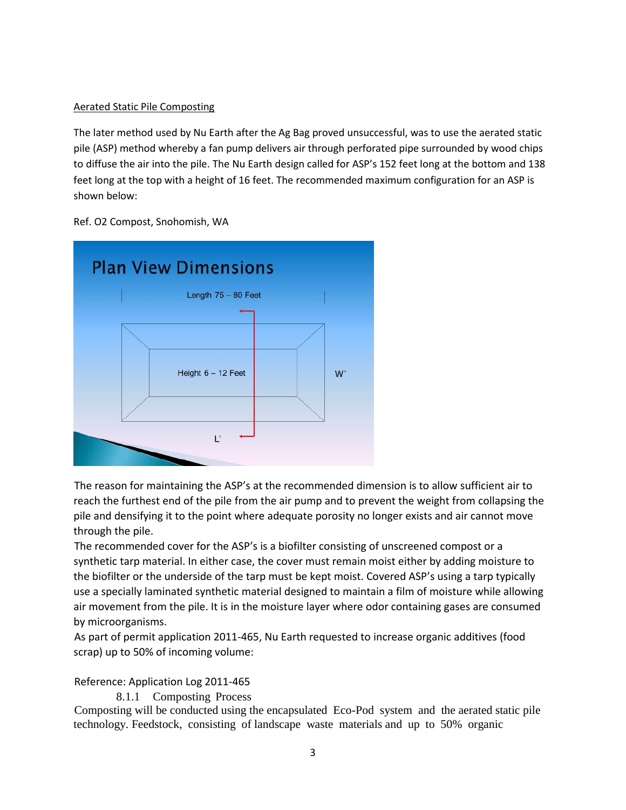## Aerated Static Pile Composting

The later method used by Nu Earth after the Ag Bag proved unsuccessful, was to use the aerated static pile (ASP) method whereby a fan pump delivers air through perforated pipe surrounded by wood chips to diffuse the air into the pile. The Nu Earth design called for ASP's 152 feet long at the bottom and 138 feet long at the top with a height of 16 feet. The recommended maximum configuration for an ASP is shown below:

Ref. O2 Compost, Snohomish, WA



The reason for maintaining the ASP's at the recommended dimension is to allow sufficient air to reach the furthest end of the pile from the air pump and to prevent the weight from collapsing the pile and densifying it to the point where adequate porosity no longer exists and air cannot move through the pile.

The recommended cover for the ASP's is a biofilter consisting of unscreened compost or a synthetic tarp material. In either case, the cover must remain moist either by adding moisture to the biofilter or the underside of the tarp must be kept moist. Covered ASP's using a tarp typically use a specially laminated synthetic material designed to maintain a film of moisture while allowing air movement from the pile. It is in the moisture layer where odor containing gases are consumed by microorganisms.

As part of permit application 2011-465, Nu Earth requested to increase organic additives (food scrap) up to 50% of incoming volume:

# Reference: Application Log 2011-465

8.1.1 Composting Process

Composting will be conducted using the encapsulated Eco-Pod system and the aerated static pile technology. Feedstock, consisting of landscape waste materials and up to 50% organic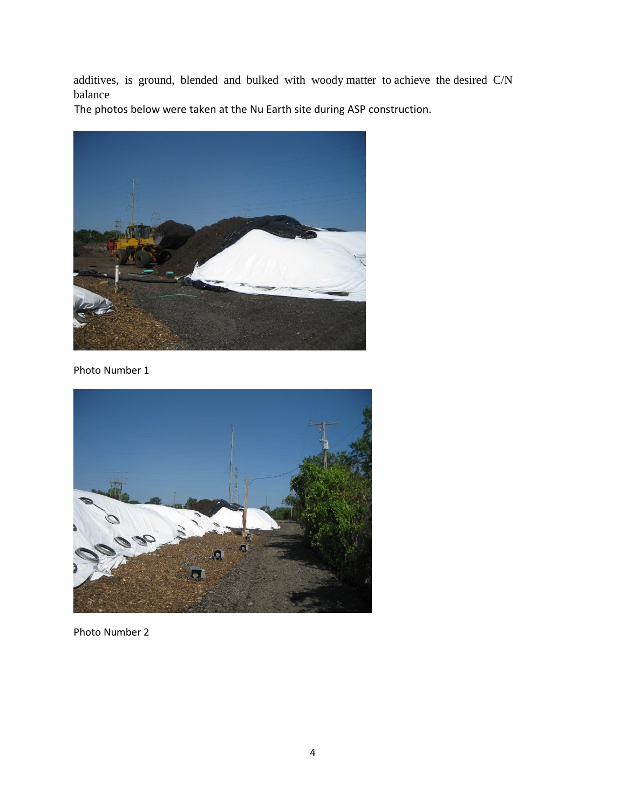additives, is ground, blended and bulked with woody matter to achieve the desired C/N balance

The photos below were taken at the Nu Earth site during ASP construction.



Photo Number 1



Photo Number 2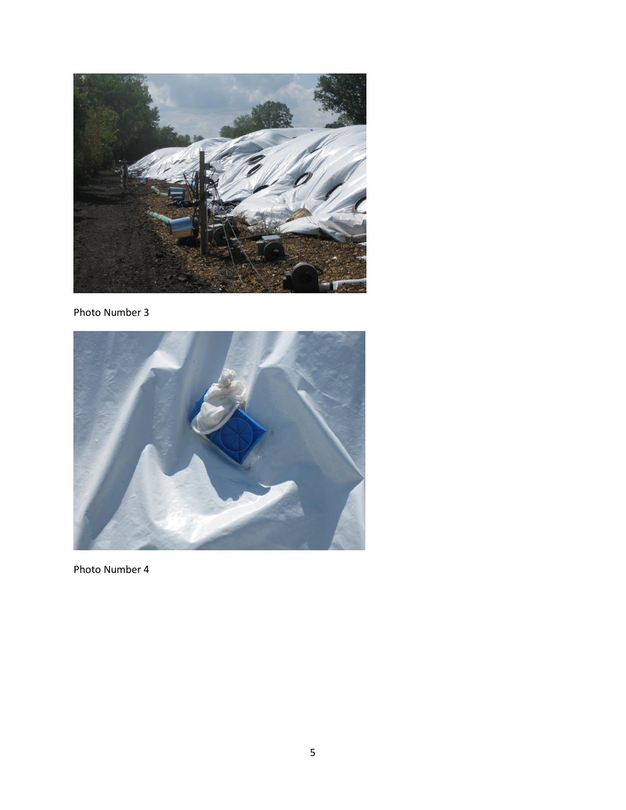

Photo Number 3



Photo Number 4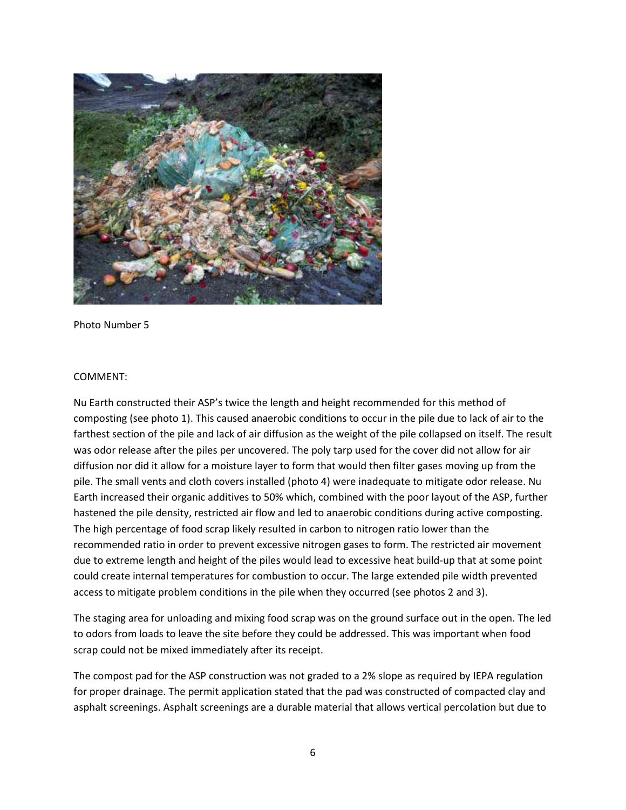

Photo Number 5

### COMMENT:

Nu Earth constructed their ASP's twice the length and height recommended for this method of composting (see photo 1). This caused anaerobic conditions to occur in the pile due to lack of air to the farthest section of the pile and lack of air diffusion as the weight of the pile collapsed on itself. The result was odor release after the piles per uncovered. The poly tarp used for the cover did not allow for air diffusion nor did it allow for a moisture layer to form that would then filter gases moving up from the pile. The small vents and cloth covers installed (photo 4) were inadequate to mitigate odor release. Nu Earth increased their organic additives to 50% which, combined with the poor layout of the ASP, further hastened the pile density, restricted air flow and led to anaerobic conditions during active composting. The high percentage of food scrap likely resulted in carbon to nitrogen ratio lower than the recommended ratio in order to prevent excessive nitrogen gases to form. The restricted air movement due to extreme length and height of the piles would lead to excessive heat build-up that at some point could create internal temperatures for combustion to occur. The large extended pile width prevented access to mitigate problem conditions in the pile when they occurred (see photos 2 and 3).

The staging area for unloading and mixing food scrap was on the ground surface out in the open. The led to odors from loads to leave the site before they could be addressed. This was important when food scrap could not be mixed immediately after its receipt.

The compost pad for the ASP construction was not graded to a 2% slope as required by IEPA regulation for proper drainage. The permit application stated that the pad was constructed of compacted clay and asphalt screenings. Asphalt screenings are a durable material that allows vertical percolation but due to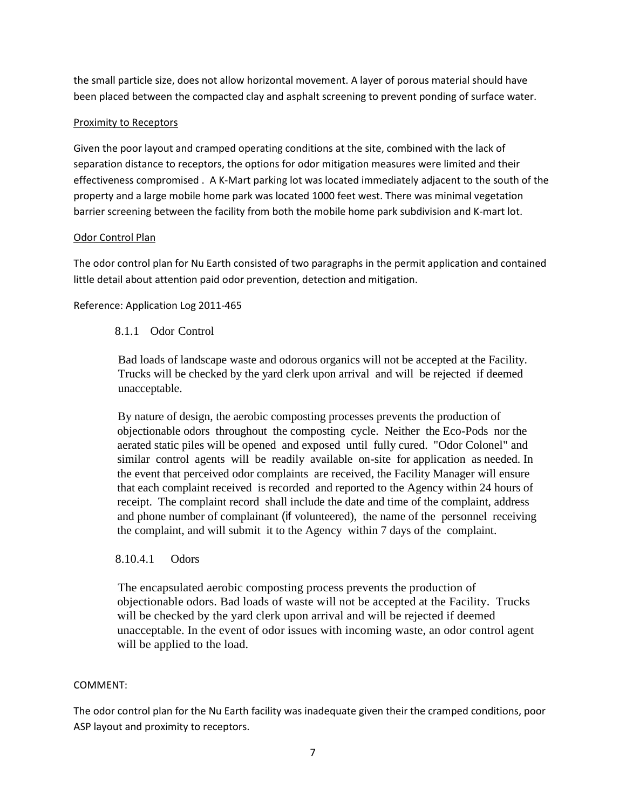the small particle size, does not allow horizontal movement. A layer of porous material should have been placed between the compacted clay and asphalt screening to prevent ponding of surface water.

# Proximity to Receptors

Given the poor layout and cramped operating conditions at the site, combined with the lack of separation distance to receptors, the options for odor mitigation measures were limited and their effectiveness compromised . A K-Mart parking lot was located immediately adjacent to the south of the property and a large mobile home park was located 1000 feet west. There was minimal vegetation barrier screening between the facility from both the mobile home park subdivision and K-mart lot.

# Odor Control Plan

The odor control plan for Nu Earth consisted of two paragraphs in the permit application and contained little detail about attention paid odor prevention, detection and mitigation.

# Reference: Application Log 2011-465

# 8.1.1 Odor Control

Bad loads of landscape waste and odorous organics will not be accepted at the Facility. Trucks will be checked by the yard clerk upon arrival and will be rejected if deemed unacceptable.

By nature of design, the aerobic composting processes prevents the production of objectionable odors throughout the composting cycle. Neither the Eco-Pods nor the aerated static piles will be opened and exposed until fully cured. "Odor Colonel" and similar control agents will be readily available on-site for application as needed. In the event that perceived odor complaints are received, the Facility Manager will ensure that each complaint received is recorded and reported to the Agency within 24 hours of receipt. The complaint record shall include the date and time of the complaint, address and phone number of complainant (if volunteered), the name of the personnel receiving the complaint, and will submit it to the Agency within 7 days of the complaint.

# 8.10.4.1 Odors

The encapsulated aerobic composting process prevents the production of objectionable odors. Bad loads of waste will not be accepted at the Facility. Trucks will be checked by the yard clerk upon arrival and will be rejected if deemed unacceptable. In the event of odor issues with incoming waste, an odor control agent will be applied to the load.

## COMMENT:

The odor control plan for the Nu Earth facility was inadequate given their the cramped conditions, poor ASP layout and proximity to receptors.